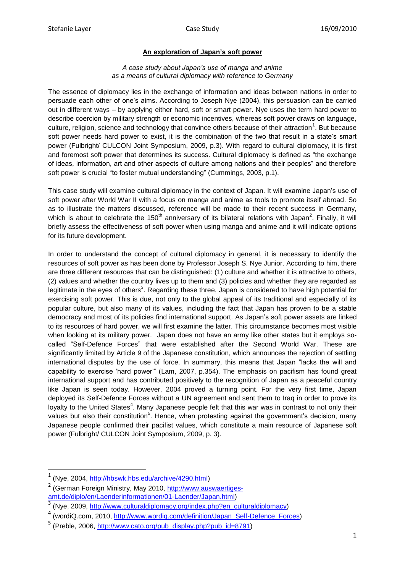## **An exploration of Japan's soft power**

## *A case study about Japan's use of manga and anime as a means of cultural diplomacy with reference to Germany*

The essence of diplomacy lies in the exchange of information and ideas between nations in order to persuade each other of one"s aims. According to Joseph Nye (2004), this persuasion can be carried out in different ways – by applying either hard, soft or smart power. Nye uses the term hard power to describe coercion by military strength or economic incentives, whereas soft power draws on language, culture, religion, science and technology that convince others because of their attraction<sup>1</sup>. But because soft power needs hard power to exist, it is the combination of the two that result in a state's smart power (Fulbright/ CULCON Joint Symposium, 2009, p.3). With regard to cultural diplomacy, it is first and foremost soft power that determines its success. Cultural diplomacy is defined as "the exchange of ideas, information, art and other aspects of culture among nations and their peoples" and therefore soft power is crucial "to foster mutual understanding" (Cummings, 2003, p.1).

This case study will examine cultural diplomacy in the context of Japan. It will examine Japan"s use of soft power after World War II with a focus on manga and anime as tools to promote itself abroad. So as to illustrate the matters discussed, reference will be made to their recent success in Germany, which is about to celebrate the 150<sup>th</sup> anniversary of its bilateral relations with Japan<sup>2</sup>. Finally, it will briefly assess the effectiveness of soft power when using manga and anime and it will indicate options for its future development.

In order to understand the concept of cultural diplomacy in general, it is necessary to identify the resources of soft power as has been done by Professor Joseph S. Nye Junior. According to him, there are three different resources that can be distinguished: (1) culture and whether it is attractive to others, (2) values and whether the country lives up to them and (3) policies and whether they are regarded as legitimate in the eyes of others<sup>3</sup>. Regarding these three, Japan is considered to have high potential for exercising soft power. This is due, not only to the global appeal of its traditional and especially of its popular culture, but also many of its values, including the fact that Japan has proven to be a stable democracy and most of its policies find international support. As Japan"s soft power assets are linked to its resources of hard power, we will first examine the latter. This circumstance becomes most visible when looking at its military power. Japan does not have an army like other states but it employs socalled "Self-Defence Forces" that were established after the Second World War. These are significantly limited by Article 9 of the Japanese constitution, which announces the rejection of settling international disputes by the use of force. In summary, this means that Japan "lacks the will and capability to exercise "hard power"" (Lam, 2007, p.354). The emphasis on pacifism has found great international support and has contributed positively to the recognition of Japan as a peaceful country like Japan is seen today. However, 2004 proved a turning point. For the very first time, Japan deployed its Self-Defence Forces without a UN agreement and sent them to Iraq in order to prove its loyalty to the United States<sup>4</sup>. Many Japanese people felt that this war was in contrast to not only their values but also their constitution<sup>5</sup>. Hence, when protesting against the government's decision, many Japanese people confirmed their pacifist values, which constitute a main resource of Japanese soft power (Fulbright/ CULCON Joint Symposium, 2009, p. 3).

1

<sup>1</sup> (Nye, 2004, [http://hbswk.hbs.edu/archive/4290.html\)](http://hbswk.hbs.edu/archive/4290.html)

<sup>&</sup>lt;sup>2</sup> (German Foreign Ministry, May 2010, [http://www.auswaertiges](http://www.auswaertiges-amt.de/diplo/en/Laenderinformationen/01-Laender/Japan.html)[amt.de/diplo/en/Laenderinformationen/01-Laender/Japan.html\)](http://www.auswaertiges-amt.de/diplo/en/Laenderinformationen/01-Laender/Japan.html)

<sup>3</sup> (Nye, 2009, [http://www.culturaldiplomacy.org/index.php?en\\_culturaldiplomacy\)](http://www.culturaldiplomacy.org/index.php?en_culturaldiplomacy)

<sup>4</sup> (wordiQ.com, 2010, [http://www.wordiq.com/definition/Japan\\_Self-Defence\\_Forces\)](http://www.wordiq.com/definition/Japan_Self-Defence_Forces)

<sup>&</sup>lt;sup>5</sup> (Preble, 2006, [http://www.cato.org/pub\\_display.php?pub\\_id=8791\)](http://www.cato.org/pub_display.php?pub_id=8791)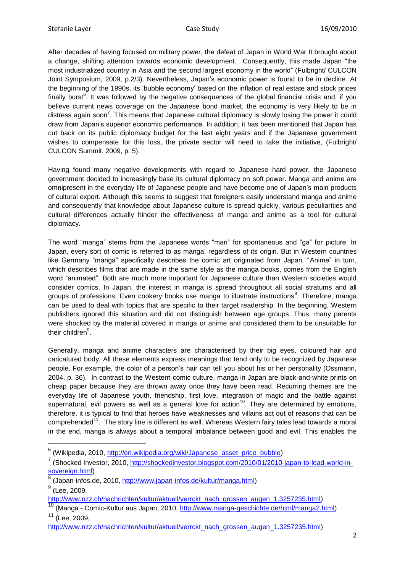**.** 

After decades of having focused on military power, the defeat of Japan in World War II brought about a change, shifting attention towards economic development. Consequently, this made Japan "the most industrialized country in Asia and the second largest economy in the world" (Fulbright/ CULCON Joint Symposium, 2009, p.2/3). Nevertheless, Japan"s economic power is found to be in decline. At the beginning of the 1990s, its "bubble economy" based on the inflation of real estate and stock prices finally burst<sup>6</sup>. It was followed by the negative consequences of the global financial crisis and, if you believe current news coverage on the Japanese bond market, the economy is very likely to be in distress again soon<sup>7</sup>. This means that Japanese cultural diplomacy is slowly losing the power it could draw from Japan"s superior economic performance. In addition, it has been mentioned that Japan has cut back on its public diplomacy budget for the last eight years and if the Japanese government wishes to compensate for this loss, the private sector will need to take the initiative, (Fulbright/ CULCON Summit, 2009, p. 5).

Having found many negative developments with regard to Japanese hard power, the Japanese government decided to increasingly base its cultural diplomacy on soft power. Manga and anime are omnipresent in the everyday life of Japanese people and have become one of Japan"s main products of cultural export. Although this seems to suggest that foreigners easily understand manga and anime and consequently that knowledge about Japanese culture is spread quickly, various peculiarities and cultural differences actually hinder the effectiveness of manga and anime as a tool for cultural diplomacy.

The word "manga" stems from the Japanese words "man" for spontaneous and "ga" for picture. In Japan, every sort of comic is referred to as manga, regardless of its origin. But in Western countries like Germany "manga" specifically describes the comic art originated from Japan. "Anime" in turn, which describes films that are made in the same style as the manga books, comes from the English word "animated". Both are much more important for Japanese culture than Western societies would consider comics. In Japan, the interest in manga is spread throughout all social stratums and all groups of professions. Even cookery books use manga to illustrate instructions<sup>8</sup>. Therefore, manga can be used to deal with topics that are specific to their target readership. In the beginning, Western publishers ignored this situation and did not distinguish between age groups. Thus, many parents were shocked by the material covered in manga or anime and considered them to be unsuitable for their children<sup>9</sup>.

Generally, manga and anime characters are characterised by their big eyes, coloured hair and caricatured body. All these elements express meanings that tend only to be recognized by Japanese people. For example, the color of a person's hair can tell you about his or her personality (Ossmann, 2004, p. 36). In contrast to the Western comic culture, manga in Japan are black-and-white prints on cheap paper because they are thrown away once they have been read. Recurring themes are the everyday life of Japanese youth, friendship, first love, integration of magic and the battle against supernatural, evil powers as well as a general love for action<sup>10</sup>. They are determined by emotions, therefore, it is typical to find that heroes have weaknesses and villains act out of reasons that can be comprehended<sup>11</sup>. The story line is different as well. Whereas Western fairy tales lead towards a moral in the end, manga is always about a temporal imbalance between good and evil. This enables the

[http://www.nzz.ch/nachrichten/kultur/aktuell/verrckt\\_nach\\_grossen\\_augen\\_1.3257235.html\)](http://www.nzz.ch/nachrichten/kultur/aktuell/verrckt_nach_grossen_augen_1.3257235.html)

<sup>&</sup>lt;sup>6</sup> (Wikipedia, 2010, <u>http://en.wikipedia.org/wiki/Japanese\_asset\_price\_bubble</u>)

<sup>7</sup> (Shocked Investor, 2010, [http://shockedinvestor.blogspot.com/2010/01/2010-japan-to-lead-world-in](http://shockedinvestor.blogspot.com/2010/01/2010-japan-to-lead-world-in-sovereign.html)[sovereign.html\)](http://shockedinvestor.blogspot.com/2010/01/2010-japan-to-lead-world-in-sovereign.html)

<sup>8</sup> (Japan-infos.de, 2010, [http://www.japan-infos.de/kultur/manga.html\)](http://www.japan-infos.de/kultur/manga.html)  $^9$  (Lee, 2009,

<sup>10</sup> (Manga - Comic-Kultur aus Japan, 2010, [http://www.manga-geschichte.de/html/manga2.html\)](http://www.manga-geschichte.de/html/manga2.html) <sup>11</sup> (Lee, 2009,

[http://www.nzz.ch/nachrichten/kultur/aktuell/verrckt\\_nach\\_grossen\\_augen\\_1.3257235.html\)](http://www.nzz.ch/nachrichten/kultur/aktuell/verrckt_nach_grossen_augen_1.3257235.html)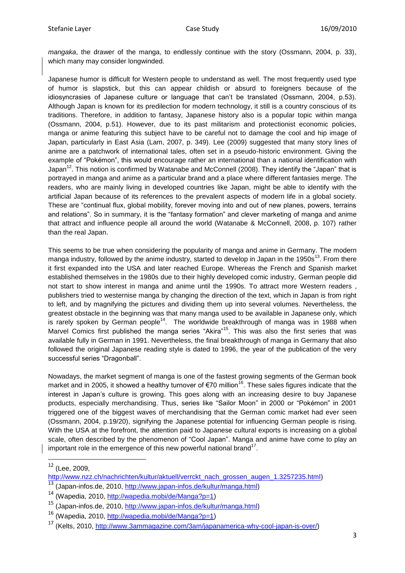*mangaka*, the drawer of the manga, to endlessly continue with the story (Ossmann, 2004, p. 33), which many may consider longwinded.

Japanese humor is difficult for Western people to understand as well. The most frequently used type of humor is slapstick, but this can appear childish or absurd to foreigners because of the idiosyncrasies of Japanese culture or language that can"t be translated (Ossmann, 2004, p.53). Although Japan is known for its predilection for modern technology, it still is a country conscious of its traditions. Therefore, in addition to fantasy, Japanese history also is a popular topic within manga (Ossmann, 2004, p.51). However, due to its past militarism and protectionist economic policies, manga or anime featuring this subject have to be careful not to damage the cool and hip image of Japan, particularly in East Asia (Lam, 2007, p. 349). Lee (2009) suggested that many story lines of anime are a patchwork of international tales, often set in a pseudo-historic environment. Giving the example of "Pokémon", this would encourage rather an international than a national identification with Japan<sup>12</sup>. This notion is confirmed by Watanabe and McConnell (2008). They identify the "Japan" that is portrayed in manga and anime as a particular brand and a place where different fantasies merge. The readers, who are mainly living in developed countries like Japan, might be able to identify with the artificial Japan because of its references to the prevalent aspects of modern life in a global society. These are "continual flux, global mobility, forever moving into and out of new planes, powers, terrains and relations". So in summary, it is the "fantasy formation" and clever marketing of manga and anime that attract and influence people all around the world (Watanabe & McConnell, 2008, p. 107) rather than the real Japan.

This seems to be true when considering the popularity of manga and anime in Germany. The modern manga industry, followed by the anime industry, started to develop in Japan in the 1950s<sup>13</sup>. From there it first expanded into the USA and later reached Europe. Whereas the French and Spanish market established themselves in the 1980s due to their highly developed comic industry, German people did not start to show interest in manga and anime until the 1990s. To attract more Western readers , publishers tried to westernise manga by changing the direction of the text, which in Japan is from right to left, and by magnifying the pictures and dividing them up into several volumes. Nevertheless, the greatest obstacle in the beginning was that many manga used to be available in Japanese only, which is rarely spoken by German people<sup>14</sup>. The worldwide breakthrough of manga was in 1988 when Marvel Comics first published the manga series "Akira"<sup>15</sup>. This was also the first series that was available fully in German in 1991. Nevertheless, the final breakthrough of manga in Germany that also followed the original Japanese reading style is dated to 1996, the year of the publication of the very successful series "Dragonball".

Nowadays, the market segment of manga is one of the fastest growing segments of the German book market and in 2005, it showed a healthy turnover of  $\epsilon$ 70 million<sup>16</sup>. These sales figures indicate that the interest in Japan"s culture is growing. This goes along with an increasing desire to buy Japanese products, especially merchandising. Thus, series like "Sailor Moon" in 2000 or "Pokémon" in 2001 triggered one of the biggest waves of merchandising that the German comic market had ever seen (Ossmann, 2004, p.19/20), signifying the Japanese potential for influencing German people is rising. With the USA at the forefront, the attention paid to Japanese cultural exports is increasing on a global scale, often described by the phenomenon of "Cool Japan". Manga and anime have come to play an important role in the emergence of this new powerful national brand<sup>17</sup>.

1

 $12$  (Lee, 2009,

[http://www.nzz.ch/nachrichten/kultur/aktuell/verrckt\\_nach\\_grossen\\_augen\\_1.3257235.html\)](http://www.nzz.ch/nachrichten/kultur/aktuell/verrckt_nach_grossen_augen_1.3257235.html)

<sup>(</sup>Japan-infos.de, 2010, [http://www.japan-infos.de/kultur/manga.html\)](http://www.japan-infos.de/kultur/manga.html)

<sup>14</sup> (Wapedia, 2010, [http://wapedia.mobi/de/Manga?p=1\)](http://wapedia.mobi/de/Manga?p=1)

<sup>15</sup> (Japan-infos.de, 2010, [http://www.japan-infos.de/kultur/manga.html\)](http://www.japan-infos.de/kultur/manga.html)

<sup>16</sup> (Wapedia, 2010, [http://wapedia.mobi/de/Manga?p=1\)](http://wapedia.mobi/de/Manga?p=1)

<sup>17</sup> (Kelts, 2010, [http://www.3ammagazine.com/3am/japanamerica-why-cool-japan-is-over/\)](http://www.3ammagazine.com/3am/japanamerica-why-cool-japan-is-over/)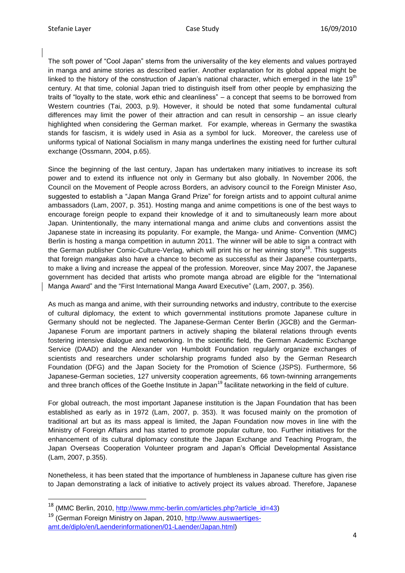The soft power of "Cool Japan" stems from the universality of the key elements and values portrayed in manga and anime stories as described earlier. Another explanation for its global appeal might be linked to the history of the construction of Japan's national character, which emerged in the late  $19<sup>th</sup>$ century. At that time, colonial Japan tried to distinguish itself from other people by emphasizing the traits of "loyalty to the state, work ethic and cleanliness" – a concept that seems to be borrowed from Western countries (Tai, 2003, p.9). However, it should be noted that some fundamental cultural differences may limit the power of their attraction and can result in censorship – an issue clearly highlighted when considering the German market. For example, whereas in Germany the swastika stands for fascism, it is widely used in Asia as a symbol for luck. Moreover, the careless use of uniforms typical of National Socialism in many manga underlines the existing need for further cultural exchange (Ossmann, 2004, p.65).

Since the beginning of the last century, Japan has undertaken many initiatives to increase its soft power and to extend its influence not only in Germany but also globally. In November 2006, the Council on the Movement of People across Borders, an advisory council to the Foreign Minister Aso, suggested to establish a "Japan Manga Grand Prize" for foreign artists and to appoint cultural anime ambassadors (Lam, 2007, p. 351). Hosting manga and anime competitions is one of the best ways to encourage foreign people to expand their knowledge of it and to simultaneously learn more about Japan. Unintentionally, the many international manga and anime clubs and conventions assist the Japanese state in increasing its popularity. For example, the Manga- und Anime- Convention (MMC) Berlin is hosting a manga competition in autumn 2011. The winner will be able to sign a contract with the German publisher Comic-Culture-Verlag, which will print his or her winning story<sup>18</sup>. This suggests that foreign *mangakas* also have a chance to become as successful as their Japanese counterparts, to make a living and increase the appeal of the profession. Moreover, since May 2007, the Japanese government has decided that artists who promote manga abroad are eligible for the "International Manga Award" and the "First International Manga Award Executive" (Lam, 2007, p. 356).

As much as manga and anime, with their surrounding networks and industry, contribute to the exercise of cultural diplomacy, the extent to which governmental institutions promote Japanese culture in Germany should not be neglected. The Japanese-German Center Berlin (JGCB) and the German-Japanese Forum are important partners in actively shaping the bilateral relations through events fostering intensive dialogue and networking. In the scientific field, the German Academic Exchange Service (DAAD) and the Alexander von Humboldt Foundation regularly organize exchanges of scientists and researchers under scholarship programs funded also by the German Research Foundation (DFG) and the Japan Society for the Promotion of Science (JSPS). Furthermore, 56 Japanese-German societies, 127 university cooperation agreements, 66 town-twinning arrangements and three branch offices of the Goethe Institute in Japan<sup>19</sup> facilitate networking in the field of culture.

For global outreach, the most important Japanese institution is the Japan Foundation that has been established as early as in 1972 (Lam, 2007, p. 353). It was focused mainly on the promotion of traditional art but as its mass appeal is limited, the Japan Foundation now moves in line with the Ministry of Foreign Affairs and has started to promote popular culture, too. Further initiatives for the enhancement of its cultural diplomacy constitute the Japan Exchange and Teaching Program, the Japan Overseas Cooperation Volunteer program and Japan"s Official Developmental Assistance (Lam, 2007, p.355).

Nonetheless, it has been stated that the importance of humbleness in Japanese culture has given rise to Japan demonstrating a lack of initiative to actively project its values abroad. Therefore, Japanese

 $\overline{a}$ 

<sup>&</sup>lt;sup>18</sup> (MMC Berlin, 2010, [http://www.mmc-berlin.com/articles.php?article\\_id=43\)](http://www.mmc-berlin.com/articles.php?article_id=43)

<sup>19</sup> (German Foreign Ministry on Japan, 2010, [http://www.auswaertiges](http://www.auswaertiges-amt.de/diplo/en/Laenderinformationen/01-Laender/Japan.html)[amt.de/diplo/en/Laenderinformationen/01-Laender/Japan.html\)](http://www.auswaertiges-amt.de/diplo/en/Laenderinformationen/01-Laender/Japan.html)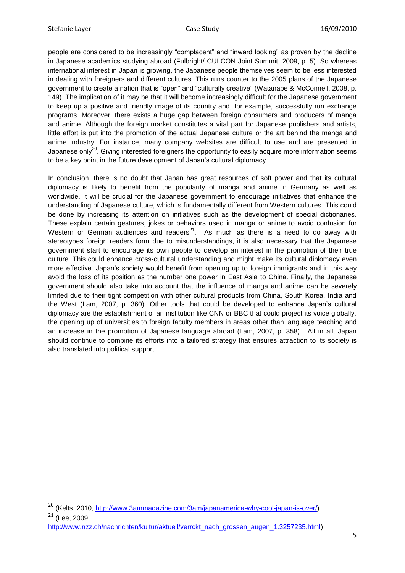$\overline{a}$ 

people are considered to be increasingly "complacent" and "inward looking" as proven by the decline in Japanese academics studying abroad (Fulbright/ CULCON Joint Summit, 2009, p. 5). So whereas international interest in Japan is growing, the Japanese people themselves seem to be less interested in dealing with foreigners and different cultures. This runs counter to the 2005 plans of the Japanese government to create a nation that is "open" and "culturally creative" (Watanabe & McConnell, 2008, p. 149). The implication of it may be that it will become increasingly difficult for the Japanese government to keep up a positive and friendly image of its country and, for example, successfully run exchange programs. Moreover, there exists a huge gap between foreign consumers and producers of manga and anime. Although the foreign market constitutes a vital part for Japanese publishers and artists, little effort is put into the promotion of the actual Japanese culture or the art behind the manga and anime industry. For instance, many company websites are difficult to use and are presented in Japanese only<sup>20</sup>. Giving interested foreigners the opportunity to easily acquire more information seems to be a key point in the future development of Japan"s cultural diplomacy.

In conclusion, there is no doubt that Japan has great resources of soft power and that its cultural diplomacy is likely to benefit from the popularity of manga and anime in Germany as well as worldwide. It will be crucial for the Japanese government to encourage initiatives that enhance the understanding of Japanese culture, which is fundamentally different from Western cultures. This could be done by increasing its attention on initiatives such as the development of special dictionaries. These explain certain gestures, jokes or behaviors used in manga or anime to avoid confusion for Western or German audiences and readers<sup>21</sup>. As much as there is a need to do away with stereotypes foreign readers form due to misunderstandings, it is also necessary that the Japanese government start to encourage its own people to develop an interest in the promotion of their true culture. This could enhance cross-cultural understanding and might make its cultural diplomacy even more effective. Japan"s society would benefit from opening up to foreign immigrants and in this way avoid the loss of its position as the number one power in East Asia to China. Finally, the Japanese government should also take into account that the influence of manga and anime can be severely limited due to their tight competition with other cultural products from China, South Korea, India and the West (Lam, 2007, p. 360). Other tools that could be developed to enhance Japan"s cultural diplomacy are the establishment of an institution like CNN or BBC that could project its voice globally, the opening up of universities to foreign faculty members in areas other than language teaching and an increase in the promotion of Japanese language abroad (Lam, 2007, p. 358). All in all, Japan should continue to combine its efforts into a tailored strategy that ensures attraction to its society is also translated into political support.

<sup>20</sup> (Kelts, 2010, [http://www.3ammagazine.com/3am/japanamerica-why-cool-japan-is-over/\)](http://www.3ammagazine.com/3am/japanamerica-why-cool-japan-is-over/)  $21$  (Lee, 2009,

[http://www.nzz.ch/nachrichten/kultur/aktuell/verrckt\\_nach\\_grossen\\_augen\\_1.3257235.html\)](http://www.nzz.ch/nachrichten/kultur/aktuell/verrckt_nach_grossen_augen_1.3257235.html)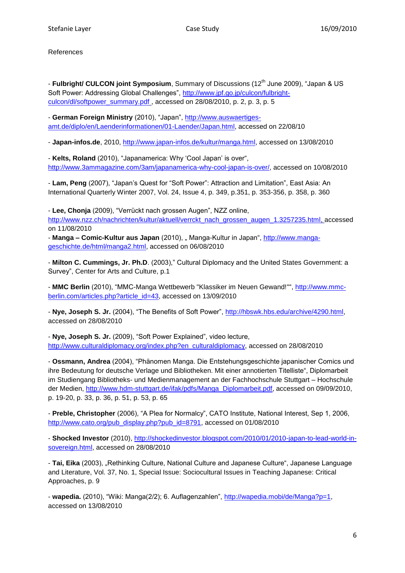References

- **Fulbright/ CULCON joint Symposium**, Summary of Discussions (12<sup>th</sup> June 2009), "Japan & US Soft Power: Addressing Global Challenges", [http://www.jpf.go.jp/culcon/fulbright](http://www.jpf.go.jp/culcon/fulbright-culcon/dl/softpower_summary.pdf)[culcon/dl/softpower\\_summary.pdf](http://www.jpf.go.jp/culcon/fulbright-culcon/dl/softpower_summary.pdf) , accessed on 28/08/2010, p. 2, p. 3, p. 5

- **German Foreign Ministry** (2010), "Japan", [http://www.auswaertiges](http://www.auswaertiges-amt.de/diplo/en/Laenderinformationen/01-Laender/Japan.html)[amt.de/diplo/en/Laenderinformationen/01-Laender/Japan.html,](http://www.auswaertiges-amt.de/diplo/en/Laenderinformationen/01-Laender/Japan.html) accessed on 22/08/10

- **Japan-infos.de**, 2010, [http://www.japan-infos.de/kultur/manga.html,](http://www.japan-infos.de/kultur/manga.html) accessed on 13/08/2010

- **Kelts, Roland** (2010), "Japanamerica: Why "Cool Japan" is over", [http://www.3ammagazine.com/3am/japanamerica-why-cool-japan-is-over/,](http://www.3ammagazine.com/3am/japanamerica-why-cool-japan-is-over/) accessed on 10/08/2010

- **Lam, Peng** (2007), "Japan"s Quest for "Soft Power": Attraction and Limitation", East Asia: An International Quarterly Winter 2007, Vol. 24, Issue 4, p. 349, p.351, p. 353-356, p. 358, p. 360

- **Lee, Chonja** (2009), "Verrückt nach grossen Augen", NZZ online, [http://www.nzz.ch/nachrichten/kultur/aktuell/verrckt\\_nach\\_grossen\\_augen\\_1.3257235.html,](http://www.nzz.ch/nachrichten/kultur/aktuell/verrckt_nach_grossen_augen_1.3257235.html) accessed on 11/08/2010

- Manga - Comic-Kultur aus Japan (2010), "Manga-Kultur in Japan", [http://www.manga](http://www.manga-geschichte.de/html/manga2.html)[geschichte.de/html/manga2.html,](http://www.manga-geschichte.de/html/manga2.html) accessed on 06/08/2010

- **Milton C. Cummings, Jr. Ph.D**. (2003)," Cultural Diplomacy and the United States Government: a Survey", Center for Arts and Culture, p.1

- **MMC Berlin** (2010), "MMC-Manga Wettbewerb "Klassiker im Neuen Gewand!"", [http://www.mmc](http://www.mmc-berlin.com/articles.php?article_id=43)[berlin.com/articles.php?article\\_id=43,](http://www.mmc-berlin.com/articles.php?article_id=43) accessed on 13/09/2010

- **Nye, Joseph S. Jr.** (2004), "The Benefits of Soft Power", [http://hbswk.hbs.edu/archive/4290.html,](http://hbswk.hbs.edu/archive/4290.html) accessed on 28/08/2010

- **Nye, Joseph S. Jr.** (2009), "Soft Power Explained", video lecture, [http://www.culturaldiplomacy.org/index.php?en\\_culturaldiplomacy,](http://www.culturaldiplomacy.org/index.php?en_culturaldiplomacy) accessed on 28/08/2010

- **Ossmann, Andrea** (2004), "Phänomen Manga. Die Entstehungsgeschichte japanischer Comics und ihre Bedeutung for deutsche Verlage und Bibliotheken. Mit einer annotierten Titelliste", Diplomarbeit im Studiengang Bibliotheks- und Medienmanagement an der Fachhochschule Stuttgart – Hochschule der Medien, [http://www.hdm-stuttgart.de/ifak/pdfs/Manga\\_Diplomarbeit.pdf,](http://www.hdm-stuttgart.de/ifak/pdfs/Manga_Diplomarbeit.pdf) accessed on 09/09/2010, p. 19-20, p. 33, p. 36, p. 51, p. 53, p. 65

- **Preble, Christopher** (2006), "A Plea for Normalcy", CATO Institute, National Interest, Sep 1, 2006, [http://www.cato.org/pub\\_display.php?pub\\_id=8791,](http://www.cato.org/pub_display.php?pub_id=8791) accessed on 01/08/2010

- **Shocked Investor** (2010), [http://shockedinvestor.blogspot.com/2010/01/2010-japan-to-lead-world-in](http://shockedinvestor.blogspot.com/2010/01/2010-japan-to-lead-world-in-sovereign.html)[sovereign.html,](http://shockedinvestor.blogspot.com/2010/01/2010-japan-to-lead-world-in-sovereign.html) accessed on 28/08/2010

- **Tai, Eika** (2003), "Rethinking Culture, National Culture and Japanese Culture", Japanese Language and Literature, Vol. 37, No. 1, Special Issue: Sociocultural Issues in Teaching Japanese: Critical Approaches, p. 9

- **wapedia.** (2010), "Wiki: Manga(2/2); 6. Auflagenzahlen", [http://wapedia.mobi/de/Manga?p=1,](http://wapedia.mobi/de/Manga?p=1) accessed on 13/08/2010